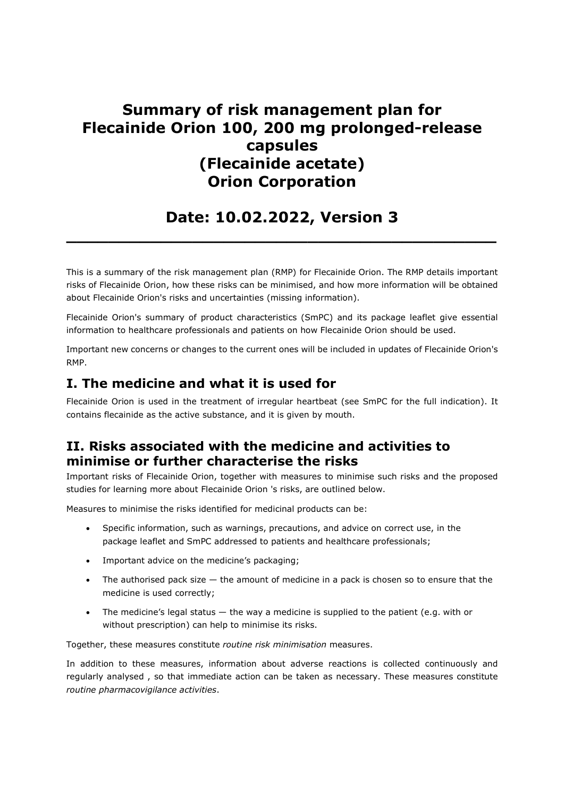# Summary of risk management plan for Flecainide Orion 100, 200 mg prolonged-release capsules (Flecainide acetate) Orion Corporation

# Date: 10.02.2022, Version 3  $\_$  , and the set of the set of the set of the set of the set of the set of the set of the set of the set of the set of the set of the set of the set of the set of the set of the set of the set of the set of the set of th

This is a summary of the risk management plan (RMP) for Flecainide Orion. The RMP details important risks of Flecainide Orion, how these risks can be minimised, and how more information will be obtained about Flecainide Orion's risks and uncertainties (missing information).

Flecainide Orion's summary of product characteristics (SmPC) and its package leaflet give essential information to healthcare professionals and patients on how Flecainide Orion should be used.

Important new concerns or changes to the current ones will be included in updates of Flecainide Orion's RMP.

## I. The medicine and what it is used for

Flecainide Orion is used in the treatment of irregular heartbeat (see SmPC for the full indication). It contains flecainide as the active substance, and it is given by mouth.

## II. Risks associated with the medicine and activities to minimise or further characterise the risks

Important risks of Flecainide Orion, together with measures to minimise such risks and the proposed studies for learning more about Flecainide Orion 's risks, are outlined below.

Measures to minimise the risks identified for medicinal products can be:

- Specific information, such as warnings, precautions, and advice on correct use, in the package leaflet and SmPC addressed to patients and healthcare professionals;
- Important advice on the medicine's packaging;
- The authorised pack size the amount of medicine in a pack is chosen so to ensure that the medicine is used correctly;
- The medicine's legal status the way a medicine is supplied to the patient (e.g. with or without prescription) can help to minimise its risks.

Together, these measures constitute routine risk minimisation measures.

In addition to these measures, information about adverse reactions is collected continuously and regularly analysed , so that immediate action can be taken as necessary. These measures constitute routine pharmacovigilance activities.